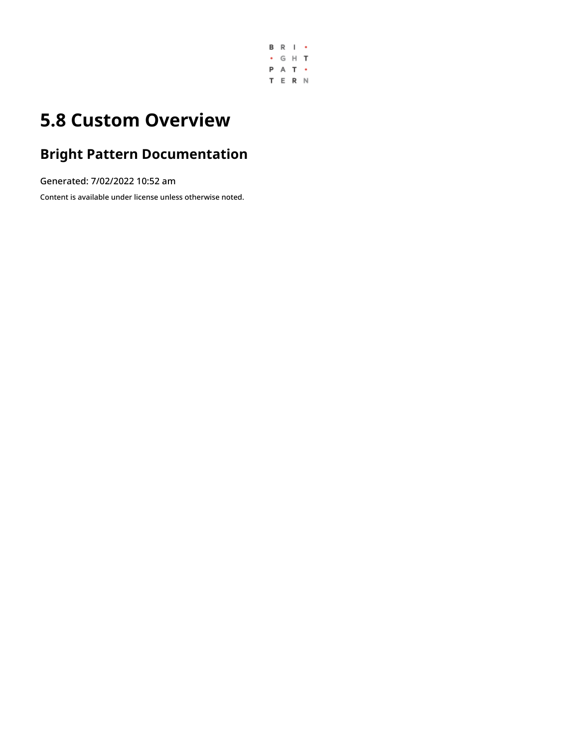

## **5.8 Custom Overview**

### **Bright Pattern Documentation**

Generated: 7/02/2022 10:52 am

Content is available under license unless otherwise noted.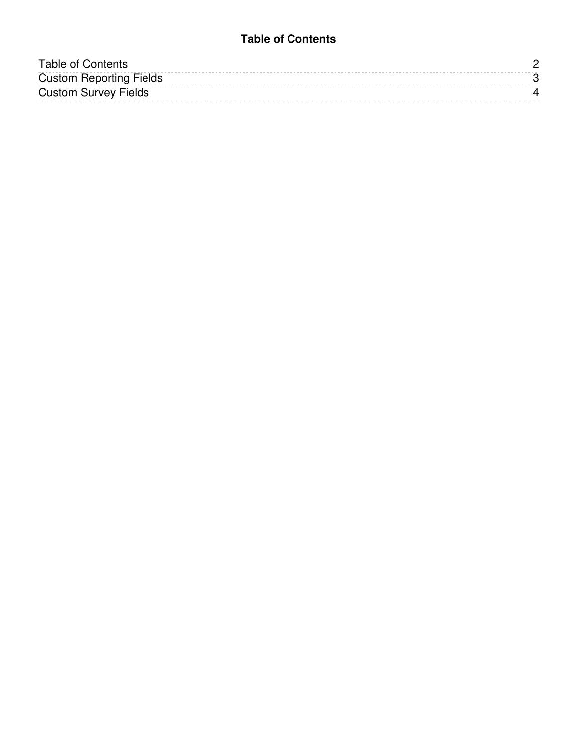#### **Table of Contents**

<span id="page-1-0"></span>

| Table of Contents              |  |
|--------------------------------|--|
| <b>Custom Reporting Fields</b> |  |
| <b>Custom Survey Fields</b>    |  |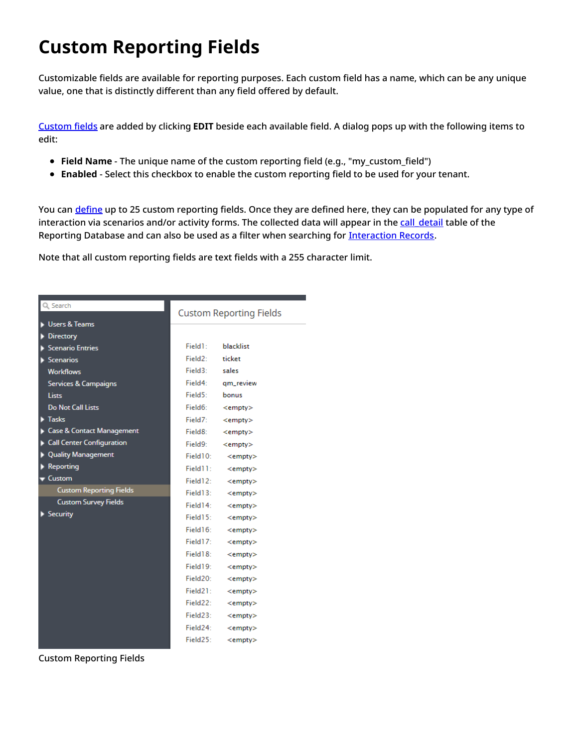# <span id="page-2-0"></span>**Custom Reporting Fields**

Customizable fields are available for reporting purposes. Each custom field has a name, which can be any unique value, one that is distinctly different than any field offered by default.

[Custom](https://help.brightpattern.com/5.8:Contact-center-administrator-guide/Custom/Overview/?action=html-localimages-export#topic_scenario-builder-reference-guide.2Fscenarioblocks.2Fsetcustomreportingfield) fields are added by clicking **EDIT** beside each available field. A dialog pops up with the following items to edit:

- **Field Name** The unique name of the custom reporting field (e.g., "my\_custom\_field")
- **Enabled** Select this checkbox to enable the custom reporting field to be used for your tenant.

You can [define](https://help.brightpattern.com/5.8:Form-builder-reference-guide/Text#Custom_reporting_field) up to 25 custom reporting fields. Once they are defined here, they can be populated for any type of interaction via scenarios and/or activity forms. The collected data will appear in the call detail table of the Reporting Database and can also be used as a filter when searching for [Interaction](https://help.brightpattern.com/5.8:Contact-center-administrator-guide/Custom/Overview/?action=html-localimages-export#topic_reporting-reference-guide.2Finteractionrecordssearch) Records.

Note that all custom reporting fields are text fields with a 255 character limit.

| Search                               | <b>Custom Reporting Fields</b> |               |
|--------------------------------------|--------------------------------|---------------|
| <b>Users &amp; Teams</b>             |                                |               |
| <b>Directory</b>                     | Field1:                        | blacklist     |
| <b>Scenario Entries</b>              | Field2:                        | ticket        |
| <b>Scenarios</b>                     |                                |               |
| <b>Workflows</b>                     | Field3:                        | sales         |
| <b>Services &amp; Campaigns</b>      | Field4:                        | am review     |
| Lists                                | Field5:                        | bonus         |
| <b>Do Not Call Lists</b>             | Field6:                        | $<$ empty $>$ |
| $\blacktriangleright$ Tasks          | Field7:                        | $<$ empty $>$ |
| <b>Case &amp; Contact Management</b> | Field8:                        | $<$ empty $>$ |
| <b>Call Center Configuration</b>     | Field9:                        | $<$ empty $>$ |
| <b>Quality Management</b>            | Field10:                       | $<$ empty $>$ |
| <b>Reporting</b>                     | Field11:                       | $<$ empty $>$ |
| Custom                               | Field12:                       | $<$ empty $>$ |
| <b>Custom Reporting Fields</b>       | Field13:                       | $<$ empty $>$ |
| <b>Custom Survey Fields</b>          | Field14:                       | $<$ empty $>$ |
| Security                             | Field $152$                    | $<$ empty $>$ |
|                                      | Field16:                       | $<$ empty $>$ |
|                                      | Field17:                       | $<$ empty $>$ |
|                                      | Field18:                       | $<$ empty $>$ |
|                                      | Field19:                       | $<$ empty $>$ |
|                                      | Field20:                       | $<$ empty $>$ |
|                                      | Field21:                       | $<$ empty $>$ |
|                                      | Field22:                       | $<$ empty $>$ |
|                                      | Field23:                       | $<$ empty $>$ |
|                                      | Field24:                       | $<$ empty $>$ |
|                                      | Field25 <sup>o</sup>           | $<$ empty $>$ |

Custom Reporting Fields